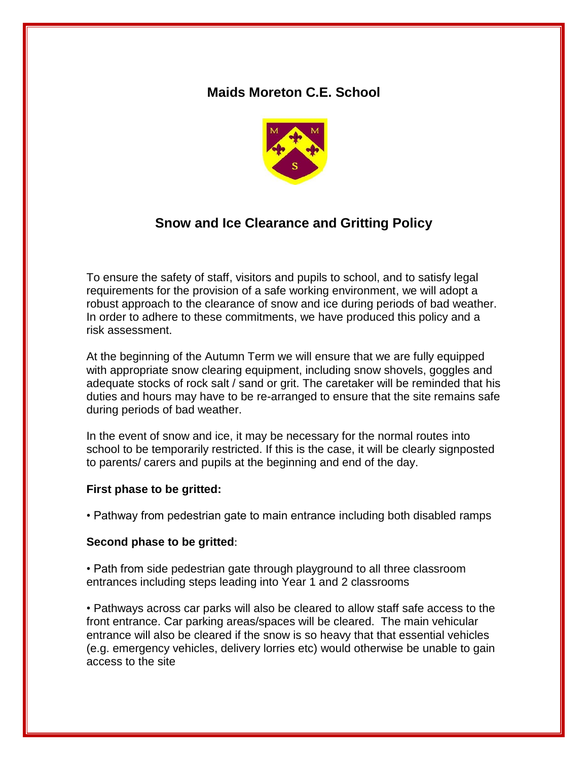# **Maids Moreton C.E. School**



# **Snow and Ice Clearance and Gritting Policy**

To ensure the safety of staff, visitors and pupils to school, and to satisfy legal requirements for the provision of a safe working environment, we will adopt a robust approach to the clearance of snow and ice during periods of bad weather. In order to adhere to these commitments, we have produced this policy and a risk assessment.

At the beginning of the Autumn Term we will ensure that we are fully equipped with appropriate snow clearing equipment, including snow shovels, goggles and adequate stocks of rock salt / sand or grit. The caretaker will be reminded that his duties and hours may have to be re-arranged to ensure that the site remains safe during periods of bad weather.

In the event of snow and ice, it may be necessary for the normal routes into school to be temporarily restricted. If this is the case, it will be clearly signposted to parents/ carers and pupils at the beginning and end of the day.

#### **First phase to be gritted:**

• Pathway from pedestrian gate to main entrance including both disabled ramps

#### **Second phase to be gritted**:

• Path from side pedestrian gate through playground to all three classroom entrances including steps leading into Year 1 and 2 classrooms

• Pathways across car parks will also be cleared to allow staff safe access to the front entrance. Car parking areas/spaces will be cleared. The main vehicular entrance will also be cleared if the snow is so heavy that that essential vehicles (e.g. emergency vehicles, delivery lorries etc) would otherwise be unable to gain access to the site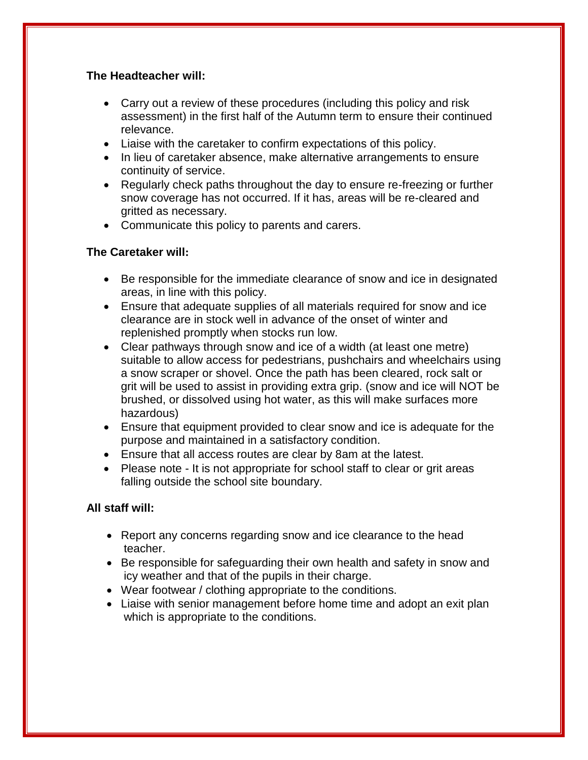## **The Headteacher will:**

- Carry out a review of these procedures (including this policy and risk assessment) in the first half of the Autumn term to ensure their continued relevance.
- Liaise with the caretaker to confirm expectations of this policy.
- In lieu of caretaker absence, make alternative arrangements to ensure continuity of service.
- Regularly check paths throughout the day to ensure re-freezing or further snow coverage has not occurred. If it has, areas will be re-cleared and gritted as necessary.
- Communicate this policy to parents and carers.

# **The Caretaker will:**

- Be responsible for the immediate clearance of snow and ice in designated areas, in line with this policy.
- Ensure that adequate supplies of all materials required for snow and ice clearance are in stock well in advance of the onset of winter and replenished promptly when stocks run low.
- Clear pathways through snow and ice of a width (at least one metre) suitable to allow access for pedestrians, pushchairs and wheelchairs using a snow scraper or shovel. Once the path has been cleared, rock salt or grit will be used to assist in providing extra grip. (snow and ice will NOT be brushed, or dissolved using hot water, as this will make surfaces more hazardous)
- Ensure that equipment provided to clear snow and ice is adequate for the purpose and maintained in a satisfactory condition.
- Ensure that all access routes are clear by 8am at the latest.
- Please note It is not appropriate for school staff to clear or grit areas falling outside the school site boundary.

# **All staff will:**

- Report any concerns regarding snow and ice clearance to the head teacher.
- Be responsible for safeguarding their own health and safety in snow and icy weather and that of the pupils in their charge.
- Wear footwear / clothing appropriate to the conditions.
- Liaise with senior management before home time and adopt an exit plan which is appropriate to the conditions.